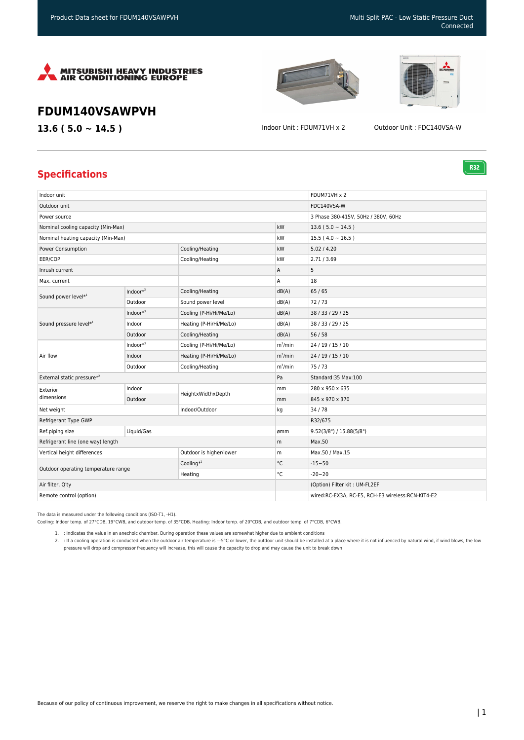

## **FDUM140VSAWPVH**

**13.6 ( 5.0 ~ 14.5 )** Indoor Unit : FDUM71VH x 2 Outdoor Unit : FDC140VSA-W

**R32** 

## **Specifications**

| Indoor unit                                   |              |                         |             | FDUM71VH x 2                                      |
|-----------------------------------------------|--------------|-------------------------|-------------|---------------------------------------------------|
| Outdoor unit                                  |              |                         | FDC140VSA-W |                                                   |
| Power source                                  |              |                         |             | 3 Phase 380-415V, 50Hz / 380V, 60Hz               |
| Nominal cooling capacity (Min-Max)            |              |                         | kW          | $13.6(5.0 \sim 14.5)$                             |
| Nominal heating capacity (Min-Max)            |              |                         | kW          | $15.5(4.0 \sim 16.5)$                             |
| Power Consumption                             |              | Cooling/Heating         | kW          | 5.02 / 4.20                                       |
| EER/COP                                       |              | Cooling/Heating         | kW          | 2.71/3.69                                         |
| Inrush current                                |              |                         | Α           | 5                                                 |
| Max. current                                  |              |                         | Α           | 18                                                |
| Sound power level*1<br>Sound pressure level*1 | Indoor $*^3$ | Cooling/Heating         | dB(A)       | 65/65                                             |
|                                               | Outdoor      | Sound power level       | dB(A)       | 72/73                                             |
|                                               | $Indoor*3$   | Cooling (P-Hi/Hi/Me/Lo) | dB(A)       | 38 / 33 / 29 / 25                                 |
|                                               | Indoor       | Heating (P-Hi/Hi/Me/Lo) | dB(A)       | 38 / 33 / 29 / 25                                 |
| Air flow                                      | Outdoor      | Cooling/Heating         | dB(A)       | 56/58                                             |
|                                               | $Indoor*3$   | Cooling (P-Hi/Hi/Me/Lo) | $m^3/m$ in  | 24 / 19 / 15 / 10                                 |
|                                               | Indoor       | Heating (P-Hi/Hi/Me/Lo) | $m^3/m$ in  | 24 / 19 / 15 / 10                                 |
|                                               | Outdoor      | Cooling/Heating         | $m^3/m$ in  | 75/73                                             |
| External static pressure*2                    |              |                         | Pa          | Standard:35 Max:100                               |
| Exterior<br>dimensions                        | Indoor       | HeightxWidthxDepth      | mm          | 280 x 950 x 635                                   |
|                                               | Outdoor      |                         | mm          | 845 x 970 x 370                                   |
| Net weight                                    |              | Indoor/Outdoor          | kg          | 34 / 78                                           |
| Refrigerant Type GWP                          |              |                         |             | R32/675                                           |
| Ref.piping size                               | Liquid/Gas   |                         | ømm         | 9.52(3/8") / 15.88(5/8")                          |
| Refrigerant line (one way) length             |              |                         | m           | Max.50                                            |
| Vertical height differences                   |              | Outdoor is higher/lower | m           | Max.50 / Max.15                                   |
| Outdoor operating temperature range           |              | Cooling $*^2$           | °C          | $-15 - 50$                                        |
|                                               |              | Heating                 | °C          | $-20 - 20$                                        |
| Air filter, Q'ty                              |              |                         |             | (Option) Filter kit: UM-FL2EF                     |
| Remote control (option)                       |              |                         |             | wired:RC-EX3A, RC-E5, RCH-E3 wireless:RCN-KIT4-E2 |

The data is measured under the following conditions (ISO-T1, -H1).

Cooling: Indoor temp. of 27°CDB, 19°CWB, and outdoor temp. of 35°CDB. Heating: Indoor temp. of 20°CDB, and outdoor temp. of 7°CDB, 6°CWB.

1. : Indicates the value in an anechoic chamber. During operation these values are somewhat higher due to ambient conditions

2. : If a cooling operation is conducted when the outdoor air temperature is —5°C or lower, the outdoor unit should be installed at a place where it is not influenced by natural wind, if wind blows, the low pressure will drop and compressor frequency will increase, this will cause the capacity to drop and may cause the unit to break down